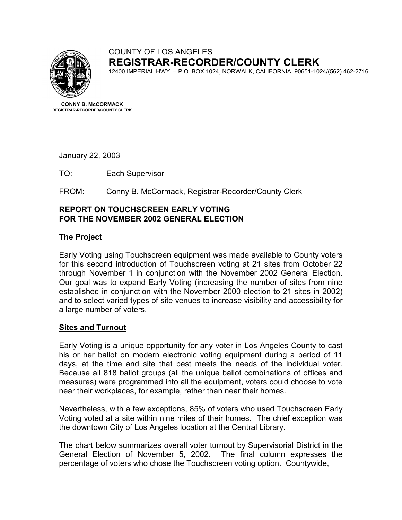

# COUNTY OF LOS ANGELES **REGISTRAR-RECORDER/COUNTY CLERK**

12400 IMPERIAL HWY. – P.O. BOX 1024, NORWALK, CALIFORNIA 90651-1024/(562) 462-2716

**CONNY B. McCORMACK REGISTRAR-RECORDER/COUNTY CLERK** 

January 22, 2003

TO: Each Supervisor

FROM: Conny B. McCormack, Registrar-Recorder/County Clerk

### **REPORT ON TOUCHSCREEN EARLY VOTING FOR THE NOVEMBER 2002 GENERAL ELECTION**

## **The Project**

Early Voting using Touchscreen equipment was made available to County voters for this second introduction of Touchscreen voting at 21 sites from October 22 through November 1 in conjunction with the November 2002 General Election. Our goal was to expand Early Voting (increasing the number of sites from nine established in conjunction with the November 2000 election to 21 sites in 2002) and to select varied types of site venues to increase visibility and accessibility for a large number of voters.

#### **Sites and Turnout**

Early Voting is a unique opportunity for any voter in Los Angeles County to cast his or her ballot on modern electronic voting equipment during a period of 11 days, at the time and site that best meets the needs of the individual voter. Because all 818 ballot groups (all the unique ballot combinations of offices and measures) were programmed into all the equipment, voters could choose to vote near their workplaces, for example, rather than near their homes.

Nevertheless, with a few exceptions, 85% of voters who used Touchscreen Early Voting voted at a site within nine miles of their homes. The chief exception was the downtown City of Los Angeles location at the Central Library.

The chart below summarizes overall voter turnout by Supervisorial District in the General Election of November 5, 2002. The final column expresses the percentage of voters who chose the Touchscreen voting option. Countywide,